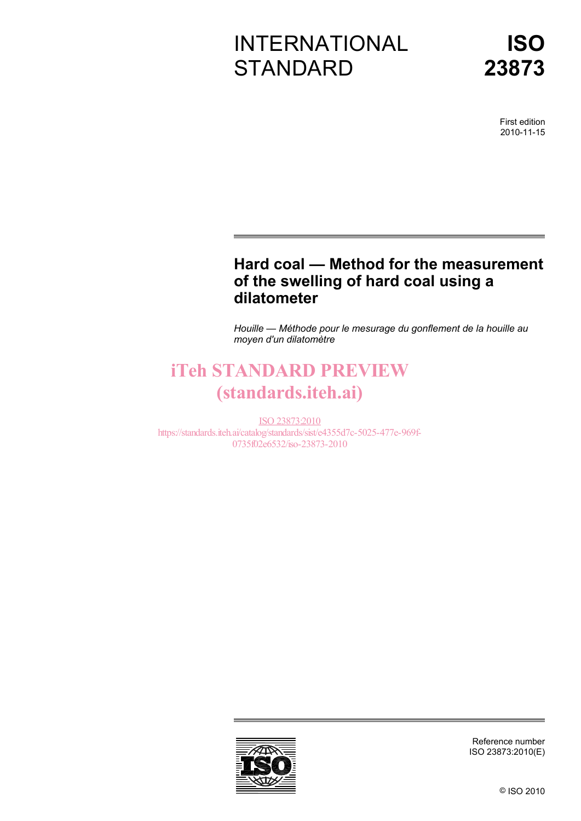## INTERNATIONAL **STANDARD**

First edition 2010-11-15

## **Hard coal — Method for the measurement of the swelling of hard coal using a dilatometer**

*Houille — Méthode pour le mesurage du gonflement de la houille au moyen d'un dilatomètre* 

## iTeh STANDARD PREVIEW (standards.iteh.ai)

ISO 23873:2010 https://standards.iteh.ai/catalog/standards/sist/e4355d7c-5025-477e-969f-0735f02e6532/iso-23873-2010



Reference number ISO 23873:2010(E)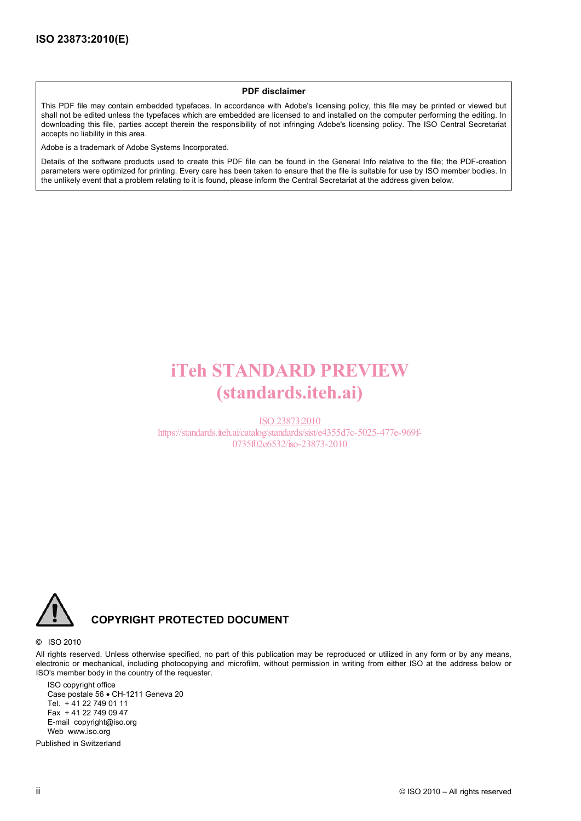#### **PDF disclaimer**

This PDF file may contain embedded typefaces. In accordance with Adobe's licensing policy, this file may be printed or viewed but shall not be edited unless the typefaces which are embedded are licensed to and installed on the computer performing the editing. In downloading this file, parties accept therein the responsibility of not infringing Adobe's licensing policy. The ISO Central Secretariat accepts no liability in this area.

Adobe is a trademark of Adobe Systems Incorporated.

Details of the software products used to create this PDF file can be found in the General Info relative to the file; the PDF-creation parameters were optimized for printing. Every care has been taken to ensure that the file is suitable for use by ISO member bodies. In the unlikely event that a problem relating to it is found, please inform the Central Secretariat at the address given below.

## iTeh STANDARD PREVIEW (standards.iteh.ai)

ISO 23873:2010 https://standards.iteh.ai/catalog/standards/sist/e4355d7c-5025-477e-969f-0735f02e6532/iso-23873-2010



#### **COPYRIGHT PROTECTED DOCUMENT**

#### © ISO 2010

All rights reserved. Unless otherwise specified, no part of this publication may be reproduced or utilized in any form or by any means, electronic or mechanical, including photocopying and microfilm, without permission in writing from either ISO at the address below or ISO's member body in the country of the requester.

ISO copyright office Case postale 56 • CH-1211 Geneva 20 Tel. + 41 22 749 01 11 Fax + 41 22 749 09 47 E-mail copyright@iso.org Web www.iso.org

Published in Switzerland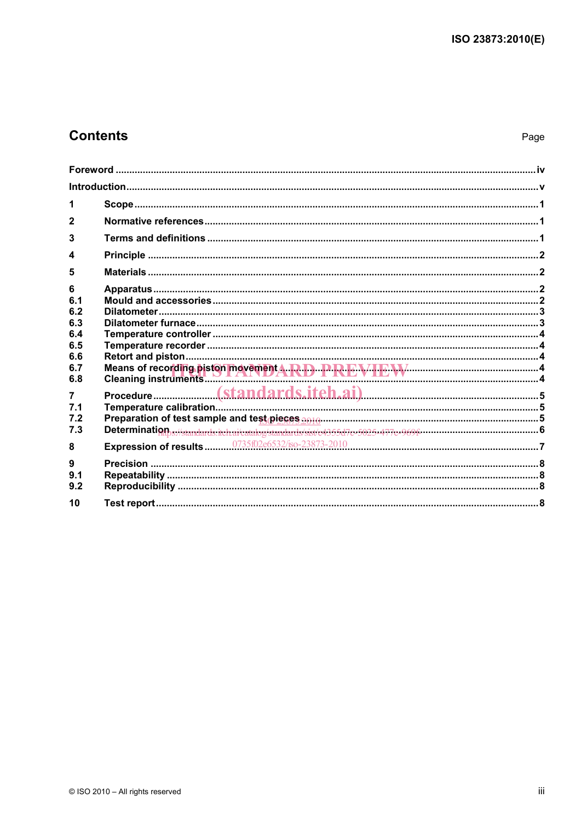### **Contents**

Page

| 1                |                                                                                                  |  |  |  |
|------------------|--------------------------------------------------------------------------------------------------|--|--|--|
| 2                |                                                                                                  |  |  |  |
| 3                |                                                                                                  |  |  |  |
| 4                |                                                                                                  |  |  |  |
| 5                |                                                                                                  |  |  |  |
| 6                |                                                                                                  |  |  |  |
| 6.1              |                                                                                                  |  |  |  |
| 6.2              |                                                                                                  |  |  |  |
| 6.3              |                                                                                                  |  |  |  |
| 6.4              |                                                                                                  |  |  |  |
| 6.5              |                                                                                                  |  |  |  |
| 6.6              |                                                                                                  |  |  |  |
| 6.7              |                                                                                                  |  |  |  |
| 6.8              |                                                                                                  |  |  |  |
| $\overline{7}$   |                                                                                                  |  |  |  |
| 7.1              |                                                                                                  |  |  |  |
| 7.2              | Preparation of test sample and test pieces and million contain and the manu-manu-manu-manu-manu- |  |  |  |
| 7.3              |                                                                                                  |  |  |  |
| 8                |                                                                                                  |  |  |  |
| $\boldsymbol{9}$ |                                                                                                  |  |  |  |
| 9.1              |                                                                                                  |  |  |  |
| 9.2              |                                                                                                  |  |  |  |
|                  |                                                                                                  |  |  |  |
| 10               |                                                                                                  |  |  |  |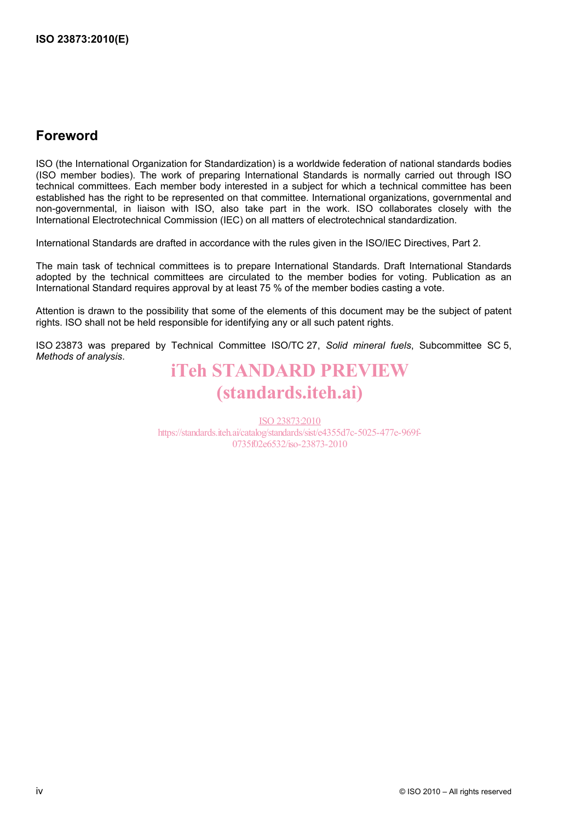### **Foreword**

ISO (the International Organization for Standardization) is a worldwide federation of national standards bodies (ISO member bodies). The work of preparing International Standards is normally carried out through ISO technical committees. Each member body interested in a subject for which a technical committee has been established has the right to be represented on that committee. International organizations, governmental and non-governmental, in liaison with ISO, also take part in the work. ISO collaborates closely with the International Electrotechnical Commission (IEC) on all matters of electrotechnical standardization.

International Standards are drafted in accordance with the rules given in the ISO/IEC Directives, Part 2.

The main task of technical committees is to prepare International Standards. Draft International Standards adopted by the technical committees are circulated to the member bodies for voting. Publication as an International Standard requires approval by at least 75 % of the member bodies casting a vote.

Attention is drawn to the possibility that some of the elements of this document may be the subject of patent rights. ISO shall not be held responsible for identifying any or all such patent rights.

ISO 23873 was prepared by Technical Committee ISO/TC 27, *Solid mineral fuels*, Subcommittee SC 5, *Methods of analysis*.

## iTeh STANDARD PREVIEW (standards.iteh.ai)

ISO 23873:2010 https://standards.iteh.ai/catalog/standards/sist/e4355d7c-5025-477e-969f-0735f02e6532/iso-23873-2010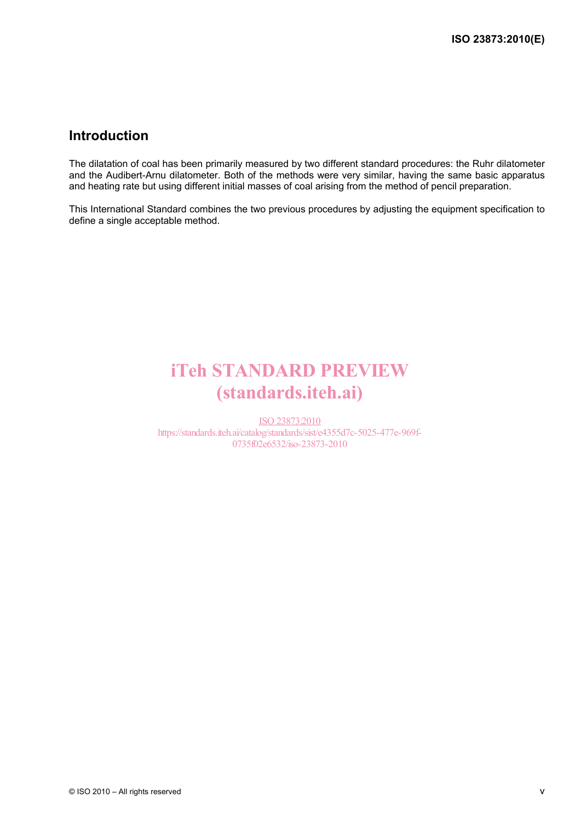### **Introduction**

The dilatation of coal has been primarily measured by two different standard procedures: the Ruhr dilatometer and the Audibert-Arnu dilatometer. Both of the methods were very similar, having the same basic apparatus and heating rate but using different initial masses of coal arising from the method of pencil preparation.

This International Standard combines the two previous procedures by adjusting the equipment specification to define a single acceptable method.

## iTeh STANDARD PREVIEW (standards.iteh.ai)

ISO 23873:2010 https://standards.iteh.ai/catalog/standards/sist/e4355d7c-5025-477e-969f-0735f02e6532/iso-23873-2010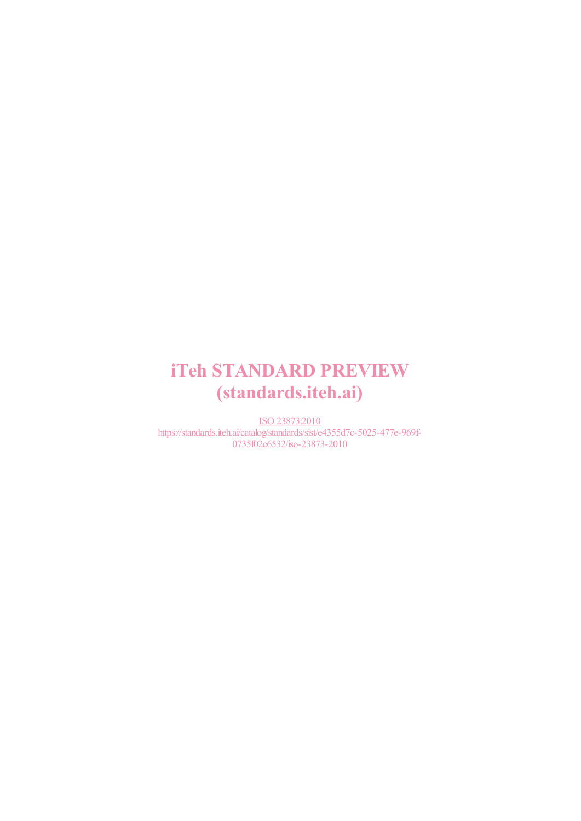## iTeh STANDARD PREVIEW (standards.iteh.ai)

ISO 23873:2010 https://standards.iteh.ai/catalog/standards/sist/e4355d7c-5025-477e-969f-0735f02e6532/iso-23873-2010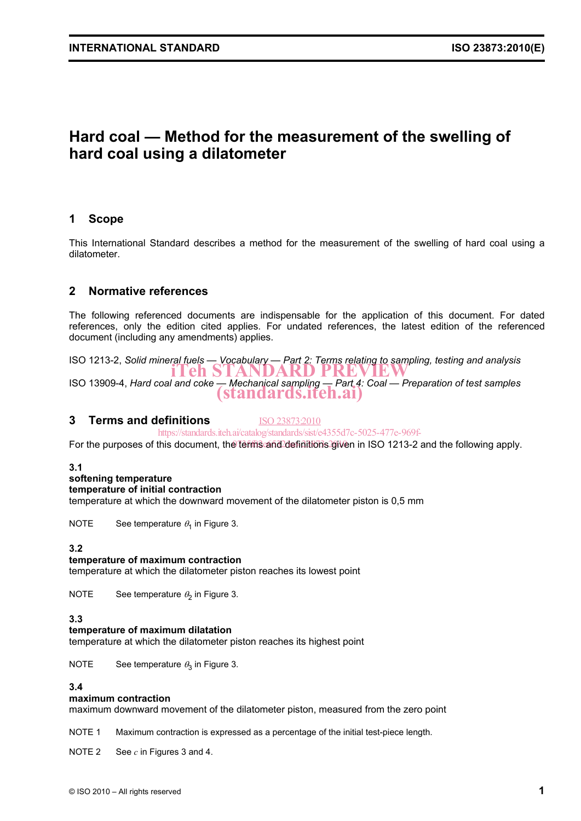## **Hard coal — Method for the measurement of the swelling of hard coal using a dilatometer**

#### **1 Scope**

This International Standard describes a method for the measurement of the swelling of hard coal using a dilatometer.

#### **2 Normative references**

The following referenced documents are indispensable for the application of this document. For dated references, only the edition cited applies. For undated references, the latest edition of the referenced document (including any amendments) applies.

**ISO 1213-2, Solid mineral fuels — Vocabulary — Part 2: Terms relating to sampling, testing and analysis**<br>**ITEH STANDARD PREVIEW** 

# ISO 13909-4, *Hard coal and coke — Mechanical sampling — Part 4: Coal — Preparation of test samples* (standards.iteh.ai)

#### **3 Terms and definitions**

ISO 23873:2010

https://standards.iteh.ai/catalog/standards/sist/e4355d7c-5025-477e-969f-

For the purposes of this document, the terms and definitions given in ISO 1213-2 and the following apply.

#### **3.1**

#### **softening temperature**

**temperature of initial contraction** 

temperature at which the downward movement of the dilatometer piston is 0,5 mm

NOTE See temperature  $\theta_1$  in Figure 3.

#### **3.2**

#### **temperature of maximum contraction**

temperature at which the dilatometer piston reaches its lowest point

NOTE See temperature  $\theta_2$  in Figure 3.

#### **3.3**

#### **temperature of maximum dilatation**

temperature at which the dilatometer piston reaches its highest point

NOTE See temperature  $\theta_3$  in Figure 3.

#### **3.4**

#### **maximum contraction**

maximum downward movement of the dilatometer piston, measured from the zero point

NOTE 1 Maximum contraction is expressed as a percentage of the initial test-piece length.

NOTE 2 See *c* in Figures 3 and 4.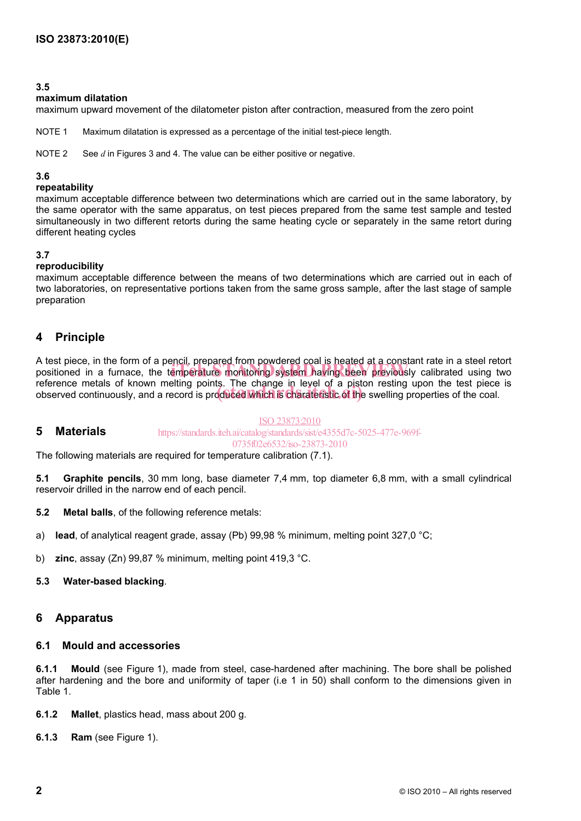#### **3.5**

#### **maximum dilatation**

maximum upward movement of the dilatometer piston after contraction, measured from the zero point

NOTE 1 Maximum dilatation is expressed as a percentage of the initial test-piece length.

NOTE 2 See *d* in Figures 3 and 4. The value can be either positive or negative.

#### **3.6**

#### **repeatability**

maximum acceptable difference between two determinations which are carried out in the same laboratory, by the same operator with the same apparatus, on test pieces prepared from the same test sample and tested simultaneously in two different retorts during the same heating cycle or separately in the same retort during different heating cycles

#### **3.7**

#### **reproducibility**

maximum acceptable difference between the means of two determinations which are carried out in each of two laboratories, on representative portions taken from the same gross sample, after the last stage of sample preparation

### **4 Principle**

A test piece, in the form of a pencil, prepared from powdered coal is heated at a constant rate in a steel retort A test piece, in the form of a pericit, prepared from powdered coal is heated at a constant rate in a steel felont<br>positioned in a furnace, the temperature monitoring system having been previously calibrated using two reference metals of known melting points. The change in level of a piston resting upon the test piece is reference metals of known metting points. The change in level of a piston resting upon the test piece<br>observed continuously, and a record is pro<mark>duced which is charateristic of th</mark>e swelling properties of the coal.

#### ISO 23873:2010

#### **5 Materials**  https://standards.iteh.ai/catalog/standards/sist/e4355d7c-5025-477e-969f-

0735f02e6532/iso-23873-2010

The following materials are required for temperature calibration (7.1).

**5.1 Graphite pencils**, 30 mm long, base diameter 7,4 mm, top diameter 6,8 mm, with a small cylindrical reservoir drilled in the narrow end of each pencil.

**5.2 Metal balls**, of the following reference metals:

- a) **lead**, of analytical reagent grade, assay (Pb) 99,98 % minimum, melting point 327,0 °C;
- b) **zinc**, assay (Zn) 99,87 % minimum, melting point 419,3 °C.

#### **5.3 Water-based blacking**.

#### **6 Apparatus**

#### **6.1 Mould and accessories**

**6.1.1 Mould** (see Figure 1), made from steel, case-hardened after machining. The bore shall be polished after hardening and the bore and uniformity of taper (i.e 1 in 50) shall conform to the dimensions given in Table 1.

- **6.1.2 Mallet**, plastics head, mass about 200 g.
- **6.1.3 Ram** (see Figure 1).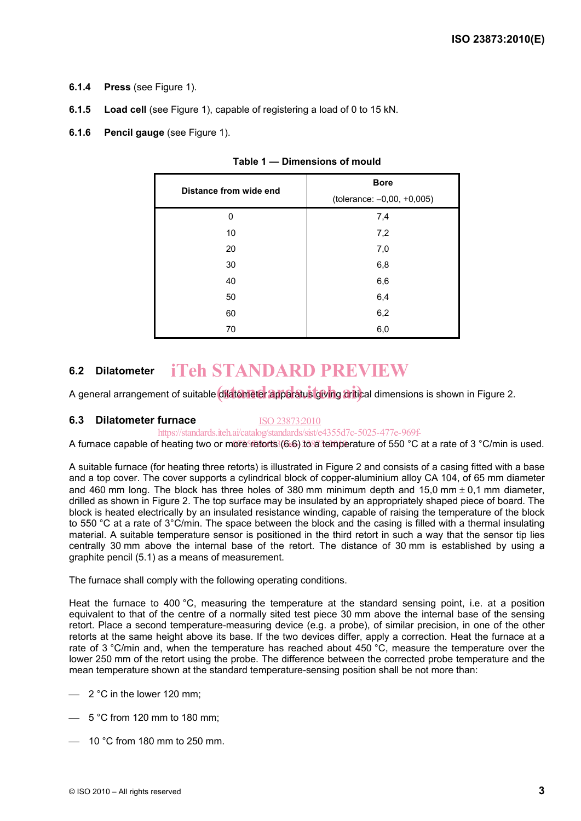- **6.1.4 Press** (see Figure 1).
- **6.1.5 Load cell** (see Figure 1), capable of registering a load of 0 to 15 kN.
- **6.1.6 Pencil gauge** (see Figure 1).

| Distance from wide end | <b>Bore</b>                   |  |  |
|------------------------|-------------------------------|--|--|
|                        | (tolerance: $-0,00, +0,005$ ) |  |  |
| 0                      | 7,4                           |  |  |
| 10                     | 7,2                           |  |  |
| 20                     | 7,0                           |  |  |
| 30                     | 6,8                           |  |  |
| 40                     | 6,6                           |  |  |
| 50                     | 6,4                           |  |  |
| 60                     | 6,2                           |  |  |
| 70                     | 6,0                           |  |  |

**Table 1 — Dimensions of mould** 

#### **6.2 Dilatometer**  iTeh STANDARD PREVIEW

A general arrangement of suitable dilatometer apparatus giving aritical dimensions is shown in Figure 2.

**6.3 Dilatometer furnace** 

#### ISO 23873:2010

https://standards.iteh.ai/catalog/standards/sist/e4355d7c-5025-477e-969f-

A furnace capable of heating two or moresretorts (6:6) to a temperature of 550 °C at a rate of 3 °C/min is used.

A suitable furnace (for heating three retorts) is illustrated in Figure 2 and consists of a casing fitted with a base and a top cover. The cover supports a cylindrical block of copper-aluminium alloy CA 104, of 65 mm diameter and 460 mm long. The block has three holes of 380 mm minimum depth and 15.0 mm  $\pm$  0.1 mm diameter. drilled as shown in Figure 2. The top surface may be insulated by an appropriately shaped piece of board. The block is heated electrically by an insulated resistance winding, capable of raising the temperature of the block to 550 °C at a rate of 3°C/min. The space between the block and the casing is filled with a thermal insulating material. A suitable temperature sensor is positioned in the third retort in such a way that the sensor tip lies centrally 30 mm above the internal base of the retort. The distance of 30 mm is established by using a graphite pencil (5.1) as a means of measurement.

The furnace shall comply with the following operating conditions.

Heat the furnace to 400 °C, measuring the temperature at the standard sensing point, i.e. at a position equivalent to that of the centre of a normally sited test piece 30 mm above the internal base of the sensing retort. Place a second temperature-measuring device (e.g. a probe), of similar precision, in one of the other retorts at the same height above its base. If the two devices differ, apply a correction. Heat the furnace at a rate of 3 °C/min and, when the temperature has reached about 450 °C, measure the temperature over the lower 250 mm of the retort using the probe. The difference between the corrected probe temperature and the mean temperature shown at the standard temperature-sensing position shall be not more than:

- $\sim$  2 °C in the lower 120 mm;
- $-$  5 °C from 120 mm to 180 mm;
- $-$  10 °C from 180 mm to 250 mm.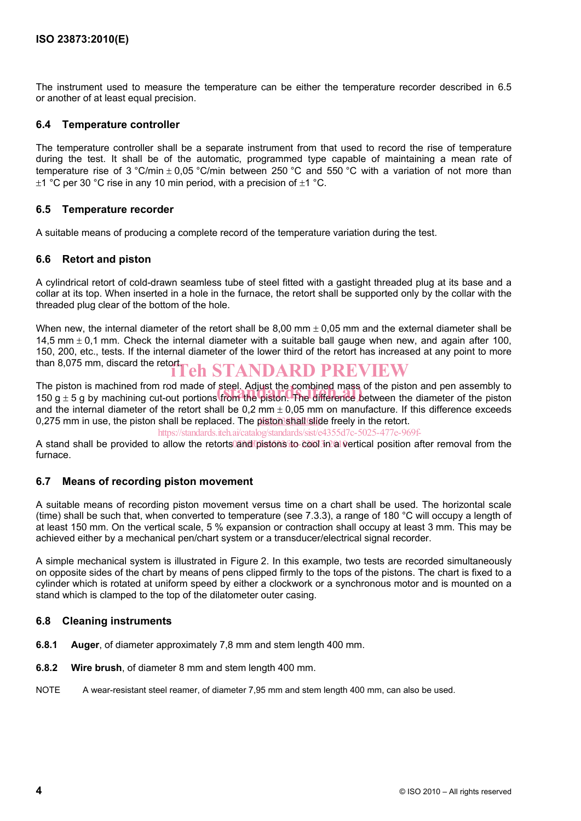The instrument used to measure the temperature can be either the temperature recorder described in 6.5 or another of at least equal precision.

#### **6.4 Temperature controller**

The temperature controller shall be a separate instrument from that used to record the rise of temperature during the test. It shall be of the automatic, programmed type capable of maintaining a mean rate of temperature rise of 3 °C/min  $\pm$  0,05 °C/min between 250 °C and 550 °C with a variation of not more than  $\pm$ 1 °C per 30 °C rise in any 10 min period, with a precision of  $\pm$ 1 °C.

#### **6.5 Temperature recorder**

A suitable means of producing a complete record of the temperature variation during the test.

#### **6.6 Retort and piston**

A cylindrical retort of cold-drawn seamless tube of steel fitted with a gastight threaded plug at its base and a collar at its top. When inserted in a hole in the furnace, the retort shall be supported only by the collar with the threaded plug clear of the bottom of the hole.

When new, the internal diameter of the retort shall be 8,00 mm  $\pm$  0,05 mm and the external diameter shall be 14.5 mm  $\pm$  0.1 mm. Check the internal diameter with a suitable ball gauge when new, and again after 100. 150, 200, etc., tests. If the internal diameter of the lower third of the retort has increased at any point to more

## than 8,075 mm, discard the retort. **ITeh STANDARD PREVIEW**

The piston is machined from rod made of steel. Adjust the combined mass of the piston and pen assembly to The piston is machined from rod made of steel. Adjust the combined mass of the piston and pen assembly to<br>150 g ± 5 g by machining cut-out portions from the piston. The difference between the diameter of the piston and the internal diameter of the retort shall be  $0.2 \text{ mm} \pm 0.05 \text{ mm}$  on manufacture. If this difference exceeds 0,275 mm in use, the piston shall be replaced. The piston shall slide freely in the retort.

https://standards.iteh.ai/catalog/standards/sist/e4355d7c-5025-477e-969f-

A stand shall be provided to allow the retorts and pistons to cool in all vertical position after removal from the furnace.

#### **6.7 Means of recording piston movement**

A suitable means of recording piston movement versus time on a chart shall be used. The horizontal scale (time) shall be such that, when converted to temperature (see 7.3.3), a range of 180 °C will occupy a length of at least 150 mm. On the vertical scale, 5 % expansion or contraction shall occupy at least 3 mm. This may be achieved either by a mechanical pen/chart system or a transducer/electrical signal recorder.

A simple mechanical system is illustrated in Figure 2. In this example, two tests are recorded simultaneously on opposite sides of the chart by means of pens clipped firmly to the tops of the pistons. The chart is fixed to a cylinder which is rotated at uniform speed by either a clockwork or a synchronous motor and is mounted on a stand which is clamped to the top of the dilatometer outer casing.

#### **6.8 Cleaning instruments**

- **6.8.1 Auger**, of diameter approximately 7,8 mm and stem length 400 mm.
- **6.8.2 Wire brush**, of diameter 8 mm and stem length 400 mm.
- NOTE A wear-resistant steel reamer, of diameter 7,95 mm and stem length 400 mm, can also be used.